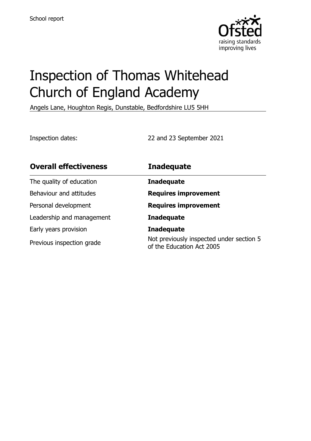

# Inspection of Thomas Whitehead Church of England Academy

Angels Lane, Houghton Regis, Dunstable, Bedfordshire LU5 5HH

Inspection dates: 22 and 23 September 2021

| <b>Overall effectiveness</b> | <b>Inadequate</b>                                                     |
|------------------------------|-----------------------------------------------------------------------|
| The quality of education     | <b>Inadequate</b>                                                     |
| Behaviour and attitudes      | <b>Requires improvement</b>                                           |
| Personal development         | <b>Requires improvement</b>                                           |
| Leadership and management    | <b>Inadequate</b>                                                     |
| Early years provision        | <b>Inadequate</b>                                                     |
| Previous inspection grade    | Not previously inspected under section 5<br>of the Education Act 2005 |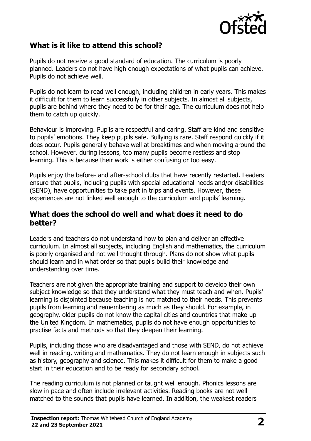

# **What is it like to attend this school?**

Pupils do not receive a good standard of education. The curriculum is poorly planned. Leaders do not have high enough expectations of what pupils can achieve. Pupils do not achieve well.

Pupils do not learn to read well enough, including children in early years. This makes it difficult for them to learn successfully in other subjects. In almost all subjects, pupils are behind where they need to be for their age. The curriculum does not help them to catch up quickly.

Behaviour is improving. Pupils are respectful and caring. Staff are kind and sensitive to pupils' emotions. They keep pupils safe. Bullying is rare. Staff respond quickly if it does occur. Pupils generally behave well at breaktimes and when moving around the school. However, during lessons, too many pupils become restless and stop learning. This is because their work is either confusing or too easy.

Pupils enjoy the before- and after-school clubs that have recently restarted. Leaders ensure that pupils, including pupils with special educational needs and/or disabilities (SEND), have opportunities to take part in trips and events. However, these experiences are not linked well enough to the curriculum and pupils' learning.

#### **What does the school do well and what does it need to do better?**

Leaders and teachers do not understand how to plan and deliver an effective curriculum. In almost all subjects, including English and mathematics, the curriculum is poorly organised and not well thought through. Plans do not show what pupils should learn and in what order so that pupils build their knowledge and understanding over time.

Teachers are not given the appropriate training and support to develop their own subject knowledge so that they understand what they must teach and when. Pupils' learning is disjointed because teaching is not matched to their needs. This prevents pupils from learning and remembering as much as they should. For example, in geography, older pupils do not know the capital cities and countries that make up the United Kingdom. In mathematics, pupils do not have enough opportunities to practise facts and methods so that they deepen their learning.

Pupils, including those who are disadvantaged and those with SEND, do not achieve well in reading, writing and mathematics. They do not learn enough in subjects such as history, geography and science. This makes it difficult for them to make a good start in their education and to be ready for secondary school.

The reading curriculum is not planned or taught well enough. Phonics lessons are slow in pace and often include irrelevant activities. Reading books are not well matched to the sounds that pupils have learned. In addition, the weakest readers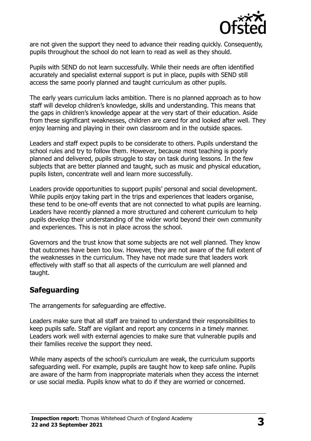

are not given the support they need to advance their reading quickly. Consequently, pupils throughout the school do not learn to read as well as they should.

Pupils with SEND do not learn successfully. While their needs are often identified accurately and specialist external support is put in place, pupils with SEND still access the same poorly planned and taught curriculum as other pupils.

The early years curriculum lacks ambition. There is no planned approach as to how staff will develop children's knowledge, skills and understanding. This means that the gaps in children's knowledge appear at the very start of their education. Aside from these significant weaknesses, children are cared for and looked after well. They enjoy learning and playing in their own classroom and in the outside spaces.

Leaders and staff expect pupils to be considerate to others. Pupils understand the school rules and try to follow them. However, because most teaching is poorly planned and delivered, pupils struggle to stay on task during lessons. In the few subjects that are better planned and taught, such as music and physical education, pupils listen, concentrate well and learn more successfully.

Leaders provide opportunities to support pupils' personal and social development. While pupils enjoy taking part in the trips and experiences that leaders organise, these tend to be one-off events that are not connected to what pupils are learning. Leaders have recently planned a more structured and coherent curriculum to help pupils develop their understanding of the wider world beyond their own community and experiences. This is not in place across the school.

Governors and the trust know that some subjects are not well planned. They know that outcomes have been too low. However, they are not aware of the full extent of the weaknesses in the curriculum. They have not made sure that leaders work effectively with staff so that all aspects of the curriculum are well planned and taught.

### **Safeguarding**

The arrangements for safeguarding are effective.

Leaders make sure that all staff are trained to understand their responsibilities to keep pupils safe. Staff are vigilant and report any concerns in a timely manner. Leaders work well with external agencies to make sure that vulnerable pupils and their families receive the support they need.

While many aspects of the school's curriculum are weak, the curriculum supports safeguarding well. For example, pupils are taught how to keep safe online. Pupils are aware of the harm from inappropriate materials when they access the internet or use social media. Pupils know what to do if they are worried or concerned.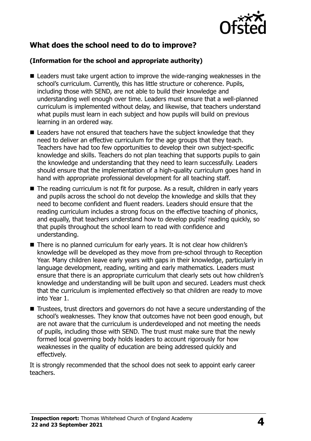

# **What does the school need to do to improve?**

#### **(Information for the school and appropriate authority)**

- Leaders must take urgent action to improve the wide-ranging weaknesses in the school's curriculum. Currently, this has little structure or coherence. Pupils, including those with SEND, are not able to build their knowledge and understanding well enough over time. Leaders must ensure that a well-planned curriculum is implemented without delay, and likewise, that teachers understand what pupils must learn in each subject and how pupils will build on previous learning in an ordered way.
- Leaders have not ensured that teachers have the subject knowledge that they need to deliver an effective curriculum for the age groups that they teach. Teachers have had too few opportunities to develop their own subject-specific knowledge and skills. Teachers do not plan teaching that supports pupils to gain the knowledge and understanding that they need to learn successfully. Leaders should ensure that the implementation of a high-quality curriculum goes hand in hand with appropriate professional development for all teaching staff.
- The reading curriculum is not fit for purpose. As a result, children in early years and pupils across the school do not develop the knowledge and skills that they need to become confident and fluent readers. Leaders should ensure that the reading curriculum includes a strong focus on the effective teaching of phonics, and equally, that teachers understand how to develop pupils' reading quickly, so that pupils throughout the school learn to read with confidence and understanding.
- There is no planned curriculum for early years. It is not clear how children's knowledge will be developed as they move from pre-school through to Reception Year. Many children leave early years with gaps in their knowledge, particularly in language development, reading, writing and early mathematics. Leaders must ensure that there is an appropriate curriculum that clearly sets out how children's knowledge and understanding will be built upon and secured. Leaders must check that the curriculum is implemented effectively so that children are ready to move into Year 1.
- Trustees, trust directors and governors do not have a secure understanding of the school's weaknesses. They know that outcomes have not been good enough, but are not aware that the curriculum is underdeveloped and not meeting the needs of pupils, including those with SEND. The trust must make sure that the newly formed local governing body holds leaders to account rigorously for how weaknesses in the quality of education are being addressed quickly and effectively.

It is strongly recommended that the school does not seek to appoint early career teachers.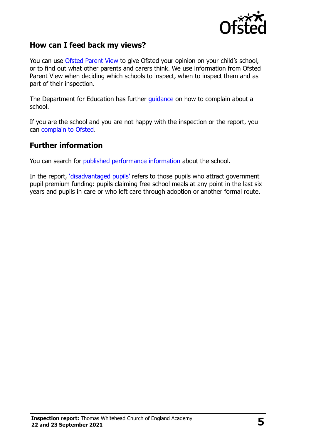

#### **How can I feed back my views?**

You can use [Ofsted Parent View](http://parentview.ofsted.gov.uk/) to give Ofsted your opinion on your child's school, or to find out what other parents and carers think. We use information from Ofsted Parent View when deciding which schools to inspect, when to inspect them and as part of their inspection.

The Department for Education has further [guidance](http://www.gov.uk/complain-about-school) on how to complain about a school.

If you are the school and you are not happy with the inspection or the report, you can [complain to Ofsted.](http://www.gov.uk/complain-ofsted-report)

#### **Further information**

You can search for [published performance information](http://www.compare-school-performance.service.gov.uk/) about the school.

In the report, '[disadvantaged pupils](http://www.gov.uk/guidance/pupil-premium-information-for-schools-and-alternative-provision-settings)' refers to those pupils who attract government pupil premium funding: pupils claiming free school meals at any point in the last six years and pupils in care or who left care through adoption or another formal route.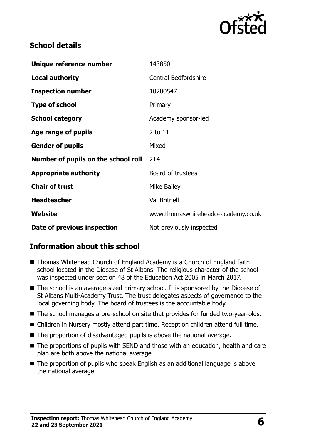

# **School details**

| Unique reference number             | 143850                             |
|-------------------------------------|------------------------------------|
| <b>Local authority</b>              | <b>Central Bedfordshire</b>        |
| <b>Inspection number</b>            | 10200547                           |
| <b>Type of school</b>               | Primary                            |
| <b>School category</b>              | Academy sponsor-led                |
| Age range of pupils                 | 2 to 11                            |
| <b>Gender of pupils</b>             | Mixed                              |
| Number of pupils on the school roll | 214                                |
| <b>Appropriate authority</b>        | Board of trustees                  |
| <b>Chair of trust</b>               | Mike Bailey                        |
| <b>Headteacher</b>                  | <b>Val Britnell</b>                |
| Website                             | www.thomaswhiteheadceacademy.co.uk |
| Date of previous inspection         | Not previously inspected           |

# **Information about this school**

- Thomas Whitehead Church of England Academy is a Church of England faith school located in the Diocese of St Albans. The religious character of the school was inspected under section 48 of the Education Act 2005 in March 2017.
- The school is an average-sized primary school. It is sponsored by the Diocese of St Albans Multi-Academy Trust. The trust delegates aspects of governance to the local governing body. The board of trustees is the accountable body.
- The school manages a pre-school on site that provides for funded two-year-olds.
- Children in Nursery mostly attend part time. Reception children attend full time.
- The proportion of disadvantaged pupils is above the national average.
- The proportions of pupils with SEND and those with an education, health and care plan are both above the national average.
- The proportion of pupils who speak English as an additional language is above the national average.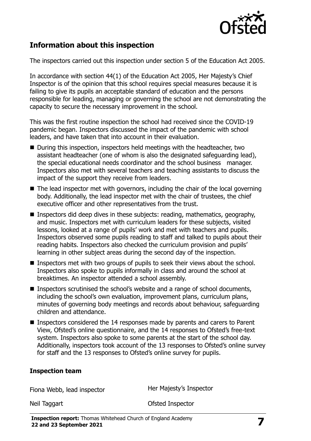

# **Information about this inspection**

The inspectors carried out this inspection under section 5 of the Education Act 2005.

In accordance with section 44(1) of the Education Act 2005, Her Majesty's Chief Inspector is of the opinion that this school requires special measures because it is failing to give its pupils an acceptable standard of education and the persons responsible for leading, managing or governing the school are not demonstrating the capacity to secure the necessary improvement in the school.

This was the first routine inspection the school had received since the COVID-19 pandemic began. Inspectors discussed the impact of the pandemic with school leaders, and have taken that into account in their evaluation.

- During this inspection, inspectors held meetings with the headteacher, two assistant headteacher (one of whom is also the designated safeguarding lead), the special educational needs coordinator and the school business manager. Inspectors also met with several teachers and teaching assistants to discuss the impact of the support they receive from leaders.
- $\blacksquare$  The lead inspector met with governors, including the chair of the local governing body. Additionally, the lead inspector met with the chair of trustees, the chief executive officer and other representatives from the trust.
- **Inspectors did deep dives in these subjects: reading, mathematics, geography,** and music. Inspectors met with curriculum leaders for these subjects, visited lessons, looked at a range of pupils' work and met with teachers and pupils. Inspectors observed some pupils reading to staff and talked to pupils about their reading habits. Inspectors also checked the curriculum provision and pupils' learning in other subject areas during the second day of the inspection.
- **Inspectors met with two groups of pupils to seek their views about the school.** Inspectors also spoke to pupils informally in class and around the school at breaktimes. An inspector attended a school assembly.
- Inspectors scrutinised the school's website and a range of school documents, including the school's own evaluation, improvement plans, curriculum plans, minutes of governing body meetings and records about behaviour, safeguarding children and attendance.
- Inspectors considered the 14 responses made by parents and carers to Parent View, Ofsted's online questionnaire, and the 14 responses to Ofsted's free-text system. Inspectors also spoke to some parents at the start of the school day. Additionally, inspectors took account of the 13 responses to Ofsted's online survey for staff and the 13 responses to Ofsted's online survey for pupils.

#### **Inspection team**

Fiona Webb, lead inspector **Her Majesty's Inspector** 

Neil Taggart **Neil Taggart** Ofsted Inspector